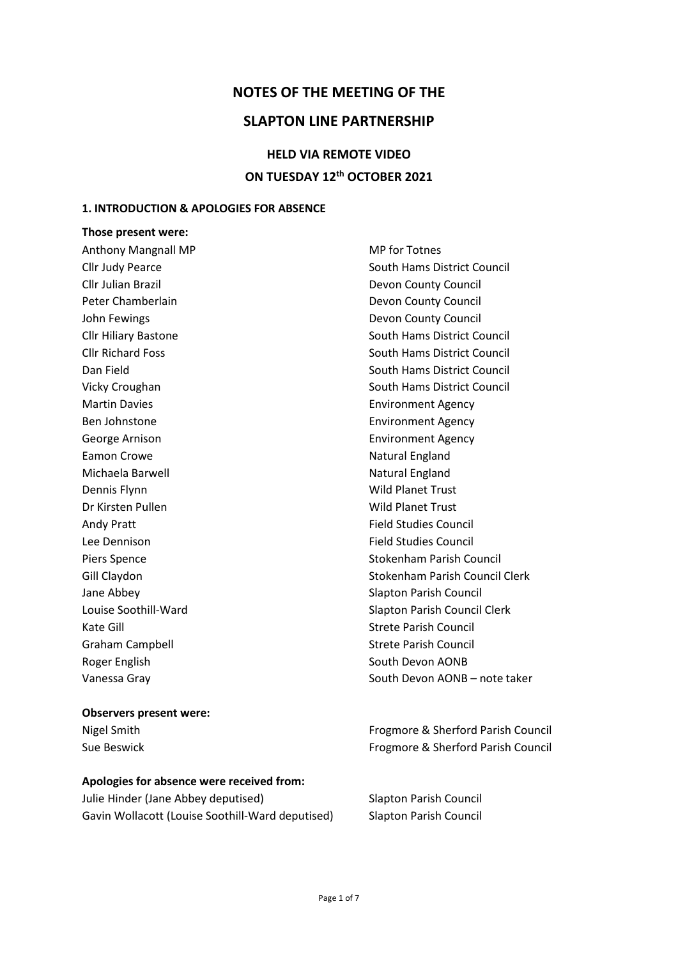## **NOTES OF THE MEETING OF THE**

## **SLAPTON LINE PARTNERSHIP**

# **HELD VIA REMOTE VIDEO ON TUESDAY 12th OCTOBER 2021**

#### **1. INTRODUCTION & APOLOGIES FOR ABSENCE**

## **Those present were:** Anthony Mangnall MP MP methods and MP for Totnes Cllr Judy Pearce South Hams District Council Cllr Julian Brazil Devon County Council Peter Chamberlain **Devon County Council** John Fewings **Devon County Council Devon County Council** Cllr Hiliary Bastone South Hams District Council Cllr Richard Foss South Hams District Council Dan Field **South Hams District Council** Council Vicky Croughan South Hams District Council Martin Davies **Environment Agency** Ben Johnstone **Environment Agency** George Arnison **Environment Agency** Eamon Crowe Natural England Michaela Barwell **Natural England** Natural England Dennis Flynn Wild Planet Trust Dr Kirsten Pullen Wild Planet Trust Andy Pratt **Field Studies Council** Lee Dennison **Field Studies Council** Piers Spence Stokenham Parish Council Gill Claydon Stokenham Parish Council Clerk Jane Abbey Slapton Parish Council Louise Soothill-Ward Slapton Parish Council Clerk Kate Gill Strete Parish Council Graham Campbell **Strete Parish Council** Strete Parish Council Roger English South Devon AONB Vanessa Gray South Devon AONB – note taker

#### **Observers present were:**

#### **Apologies for absence were received from:**

Julie Hinder (Jane Abbey deputised) Slapton Parish Council Gavin Wollacott (Louise Soothill-Ward deputised) Slapton Parish Council

Nigel Smith Frogmore & Sherford Parish Council Sue Beswick Frogmore & Sherford Parish Council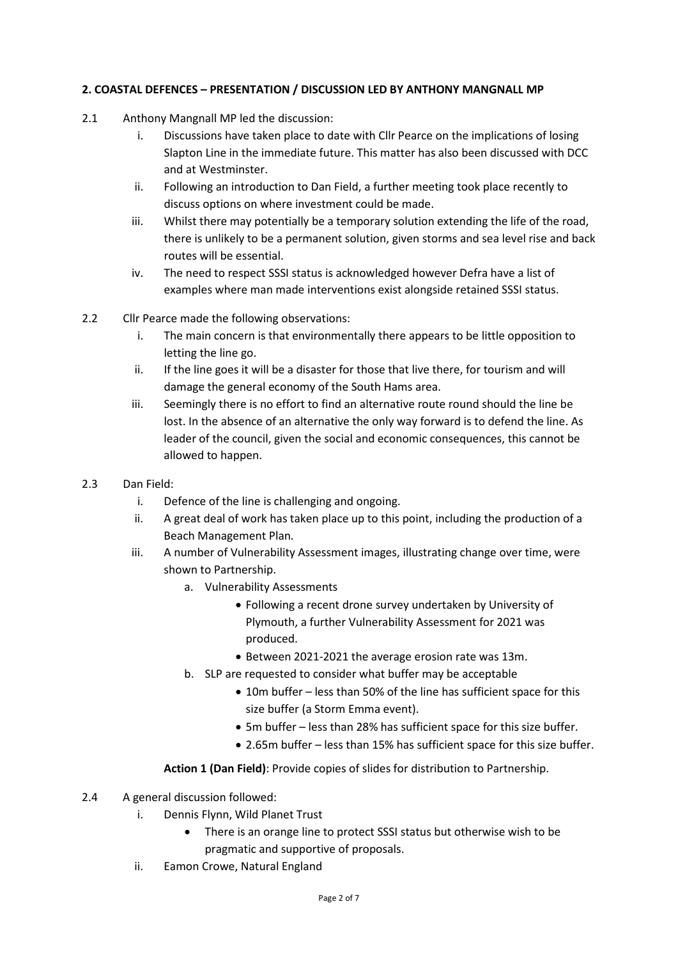## **2. COASTAL DEFENCES – PRESENTATION / DISCUSSION LED BY ANTHONY MANGNALL MP**

- 2.1 Anthony Mangnall MP led the discussion:
	- i. Discussions have taken place to date with Cllr Pearce on the implications of losing Slapton Line in the immediate future. This matter has also been discussed with DCC and at Westminster.
	- ii. Following an introduction to Dan Field, a further meeting took place recently to discuss options on where investment could be made.
	- iii. Whilst there may potentially be a temporary solution extending the life of the road, there is unlikely to be a permanent solution, given storms and sea level rise and back routes will be essential.
	- iv. The need to respect SSSI status is acknowledged however Defra have a list of examples where man made interventions exist alongside retained SSSI status.
- 2.2 Cllr Pearce made the following observations:
	- i. The main concern is that environmentally there appears to be little opposition to letting the line go.
	- ii. If the line goes it will be a disaster for those that live there, for tourism and will damage the general economy of the South Hams area.
	- iii. Seemingly there is no effort to find an alternative route round should the line be lost. In the absence of an alternative the only way forward is to defend the line. As leader of the council, given the social and economic consequences, this cannot be allowed to happen.
- 2.3 Dan Field:
	- i. Defence of the line is challenging and ongoing.
	- ii. A great deal of work has taken place up to this point, including the production of a Beach Management Plan*.*
	- iii. A number of Vulnerability Assessment images, illustrating change over time, were shown to Partnership.
		- a. Vulnerability Assessments
			- Following a recent drone survey undertaken by University of Plymouth, a further Vulnerability Assessment for 2021 was produced.
			- Between 2021-2021 the average erosion rate was 13m.
		- b. SLP are requested to consider what buffer may be acceptable
			- 10m buffer less than 50% of the line has sufficient space for this size buffer (a Storm Emma event).
			- 5m buffer less than 28% has sufficient space for this size buffer.
			- 2.65m buffer less than 15% has sufficient space for this size buffer.

#### **Action 1 (Dan Field)**: Provide copies of slides for distribution to Partnership.

- 2.4 A general discussion followed:
	- i. Dennis Flynn, Wild Planet Trust
		- There is an orange line to protect SSSI status but otherwise wish to be pragmatic and supportive of proposals.
	- ii. Eamon Crowe, Natural England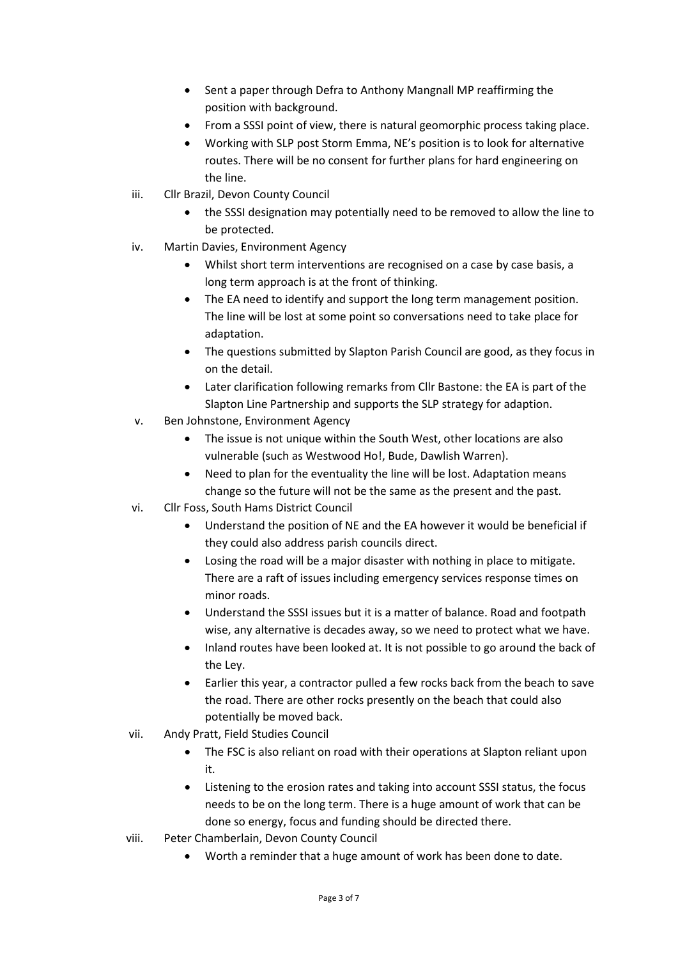- Sent a paper through Defra to Anthony Mangnall MP reaffirming the position with background.
- From a SSSI point of view, there is natural geomorphic process taking place.
- Working with SLP post Storm Emma, NE's position is to look for alternative routes. There will be no consent for further plans for hard engineering on the line.
- iii. Cllr Brazil, Devon County Council
	- the SSSI designation may potentially need to be removed to allow the line to be protected.
- iv. Martin Davies, Environment Agency
	- Whilst short term interventions are recognised on a case by case basis, a long term approach is at the front of thinking.
	- The EA need to identify and support the long term management position. The line will be lost at some point so conversations need to take place for adaptation.
	- The questions submitted by Slapton Parish Council are good, as they focus in on the detail.
	- Later clarification following remarks from Cllr Bastone: the EA is part of the Slapton Line Partnership and supports the SLP strategy for adaption.
- v. Ben Johnstone, Environment Agency
	- The issue is not unique within the South West, other locations are also vulnerable (such as Westwood Ho!, Bude, Dawlish Warren).
	- Need to plan for the eventuality the line will be lost. Adaptation means change so the future will not be the same as the present and the past.
- vi. Cllr Foss, South Hams District Council
	- Understand the position of NE and the EA however it would be beneficial if they could also address parish councils direct.
	- Losing the road will be a major disaster with nothing in place to mitigate. There are a raft of issues including emergency services response times on minor roads.
	- Understand the SSSI issues but it is a matter of balance. Road and footpath wise, any alternative is decades away, so we need to protect what we have.
	- Inland routes have been looked at. It is not possible to go around the back of the Ley.
	- Earlier this year, a contractor pulled a few rocks back from the beach to save the road. There are other rocks presently on the beach that could also potentially be moved back.
- vii. Andy Pratt, Field Studies Council
	- The FSC is also reliant on road with their operations at Slapton reliant upon it.
	- Listening to the erosion rates and taking into account SSSI status, the focus needs to be on the long term. There is a huge amount of work that can be done so energy, focus and funding should be directed there.
- viii. Peter Chamberlain, Devon County Council
	- Worth a reminder that a huge amount of work has been done to date.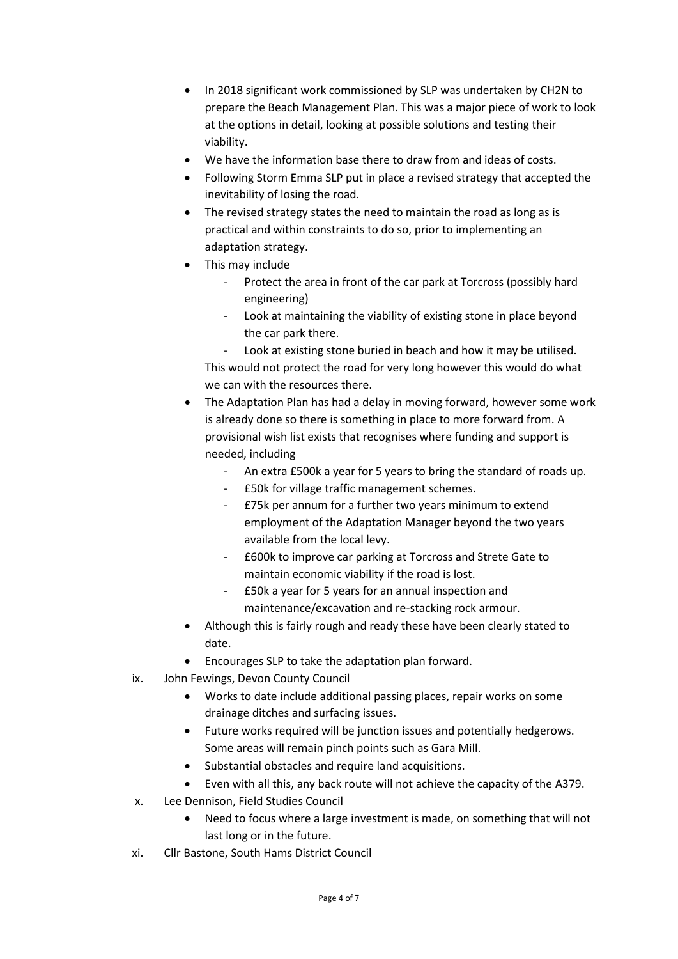- In 2018 significant work commissioned by SLP was undertaken by CH2N to prepare the Beach Management Plan. This was a major piece of work to look at the options in detail, looking at possible solutions and testing their viability.
- We have the information base there to draw from and ideas of costs.
- Following Storm Emma SLP put in place a revised strategy that accepted the inevitability of losing the road.
- The revised strategy states the need to maintain the road as long as is practical and within constraints to do so, prior to implementing an adaptation strategy.
- This may include
	- Protect the area in front of the car park at Torcross (possibly hard engineering)
	- Look at maintaining the viability of existing stone in place beyond the car park there.

Look at existing stone buried in beach and how it may be utilised. This would not protect the road for very long however this would do what we can with the resources there.

- The Adaptation Plan has had a delay in moving forward, however some work is already done so there is something in place to more forward from. A provisional wish list exists that recognises where funding and support is needed, including
	- An extra £500k a year for 5 years to bring the standard of roads up.
	- £50k for village traffic management schemes.
	- £75k per annum for a further two years minimum to extend employment of the Adaptation Manager beyond the two years available from the local levy.
	- £600k to improve car parking at Torcross and Strete Gate to maintain economic viability if the road is lost.
	- £50k a year for 5 years for an annual inspection and maintenance/excavation and re-stacking rock armour.
- Although this is fairly rough and ready these have been clearly stated to date.
- Encourages SLP to take the adaptation plan forward.
- ix. John Fewings, Devon County Council
	- Works to date include additional passing places, repair works on some drainage ditches and surfacing issues.
	- Future works required will be junction issues and potentially hedgerows. Some areas will remain pinch points such as Gara Mill.
	- Substantial obstacles and require land acquisitions.
	- Even with all this, any back route will not achieve the capacity of the A379.
- x. Lee Dennison, Field Studies Council
	- Need to focus where a large investment is made, on something that will not last long or in the future.
- xi. Cllr Bastone, South Hams District Council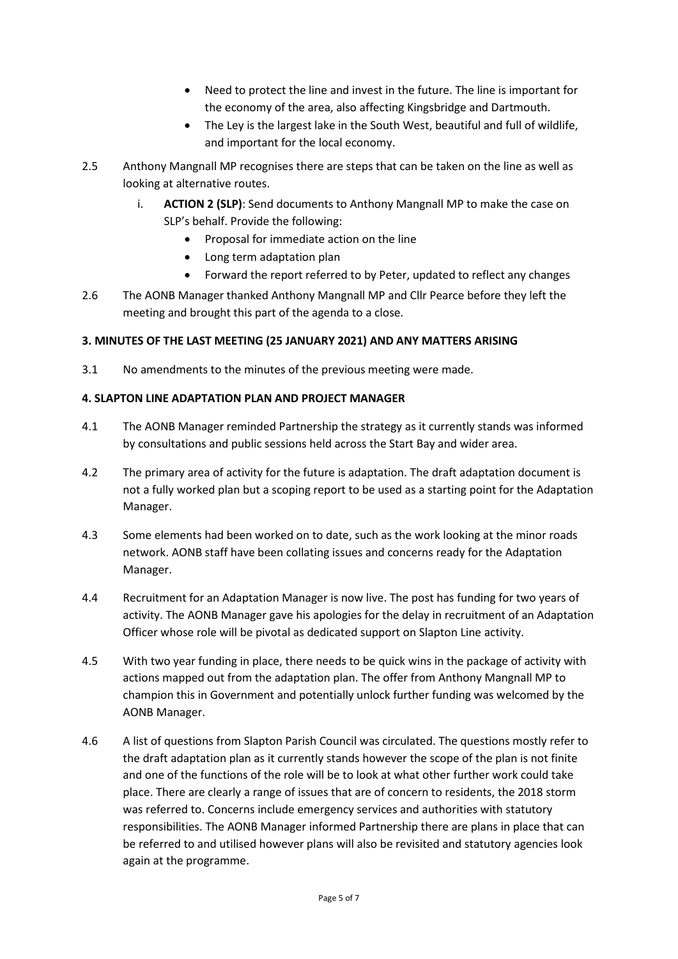- Need to protect the line and invest in the future. The line is important for the economy of the area, also affecting Kingsbridge and Dartmouth.
- The Ley is the largest lake in the South West, beautiful and full of wildlife, and important for the local economy.
- 2.5 Anthony Mangnall MP recognises there are steps that can be taken on the line as well as looking at alternative routes.
	- i. **ACTION 2 (SLP)**: Send documents to Anthony Mangnall MP to make the case on SLP's behalf. Provide the following:
		- Proposal for immediate action on the line
		- Long term adaptation plan
		- Forward the report referred to by Peter, updated to reflect any changes
- 2.6 The AONB Manager thanked Anthony Mangnall MP and Cllr Pearce before they left the meeting and brought this part of the agenda to a close.

## **3. MINUTES OF THE LAST MEETING (25 JANUARY 2021) AND ANY MATTERS ARISING**

3.1 No amendments to the minutes of the previous meeting were made.

## **4. SLAPTON LINE ADAPTATION PLAN AND PROJECT MANAGER**

- 4.1 The AONB Manager reminded Partnership the strategy as it currently stands was informed by consultations and public sessions held across the Start Bay and wider area.
- 4.2 The primary area of activity for the future is adaptation. The draft adaptation document is not a fully worked plan but a scoping report to be used as a starting point for the Adaptation Manager.
- 4.3 Some elements had been worked on to date, such as the work looking at the minor roads network. AONB staff have been collating issues and concerns ready for the Adaptation Manager.
- 4.4 Recruitment for an Adaptation Manager is now live. The post has funding for two years of activity. The AONB Manager gave his apologies for the delay in recruitment of an Adaptation Officer whose role will be pivotal as dedicated support on Slapton Line activity.
- 4.5 With two year funding in place, there needs to be quick wins in the package of activity with actions mapped out from the adaptation plan. The offer from Anthony Mangnall MP to champion this in Government and potentially unlock further funding was welcomed by the AONB Manager.
- 4.6 A list of questions from Slapton Parish Council was circulated. The questions mostly refer to the draft adaptation plan as it currently stands however the scope of the plan is not finite and one of the functions of the role will be to look at what other further work could take place. There are clearly a range of issues that are of concern to residents, the 2018 storm was referred to. Concerns include emergency services and authorities with statutory responsibilities. The AONB Manager informed Partnership there are plans in place that can be referred to and utilised however plans will also be revisited and statutory agencies look again at the programme.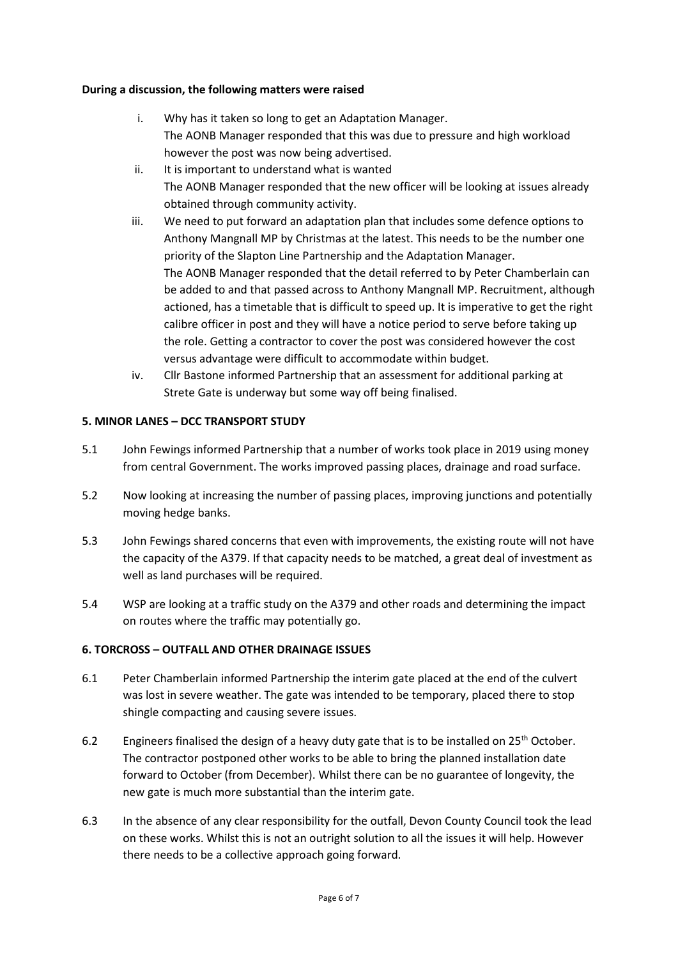## **During a discussion, the following matters were raised**

- i. Why has it taken so long to get an Adaptation Manager. The AONB Manager responded that this was due to pressure and high workload however the post was now being advertised.
- ii. It is important to understand what is wanted The AONB Manager responded that the new officer will be looking at issues already obtained through community activity.
- iii. We need to put forward an adaptation plan that includes some defence options to Anthony Mangnall MP by Christmas at the latest. This needs to be the number one priority of the Slapton Line Partnership and the Adaptation Manager. The AONB Manager responded that the detail referred to by Peter Chamberlain can be added to and that passed across to Anthony Mangnall MP. Recruitment, although actioned, has a timetable that is difficult to speed up. It is imperative to get the right calibre officer in post and they will have a notice period to serve before taking up the role. Getting a contractor to cover the post was considered however the cost versus advantage were difficult to accommodate within budget.
- iv. Cllr Bastone informed Partnership that an assessment for additional parking at Strete Gate is underway but some way off being finalised.

## **5. MINOR LANES – DCC TRANSPORT STUDY**

- 5.1 John Fewings informed Partnership that a number of works took place in 2019 using money from central Government. The works improved passing places, drainage and road surface.
- 5.2 Now looking at increasing the number of passing places, improving junctions and potentially moving hedge banks.
- 5.3 John Fewings shared concerns that even with improvements, the existing route will not have the capacity of the A379. If that capacity needs to be matched, a great deal of investment as well as land purchases will be required.
- 5.4 WSP are looking at a traffic study on the A379 and other roads and determining the impact on routes where the traffic may potentially go.

## **6. TORCROSS – OUTFALL AND OTHER DRAINAGE ISSUES**

- 6.1 Peter Chamberlain informed Partnership the interim gate placed at the end of the culvert was lost in severe weather. The gate was intended to be temporary, placed there to stop shingle compacting and causing severe issues.
- 6.2 Engineers finalised the design of a heavy duty gate that is to be installed on  $25<sup>th</sup>$  October. The contractor postponed other works to be able to bring the planned installation date forward to October (from December). Whilst there can be no guarantee of longevity, the new gate is much more substantial than the interim gate.
- 6.3 In the absence of any clear responsibility for the outfall, Devon County Council took the lead on these works. Whilst this is not an outright solution to all the issues it will help. However there needs to be a collective approach going forward.